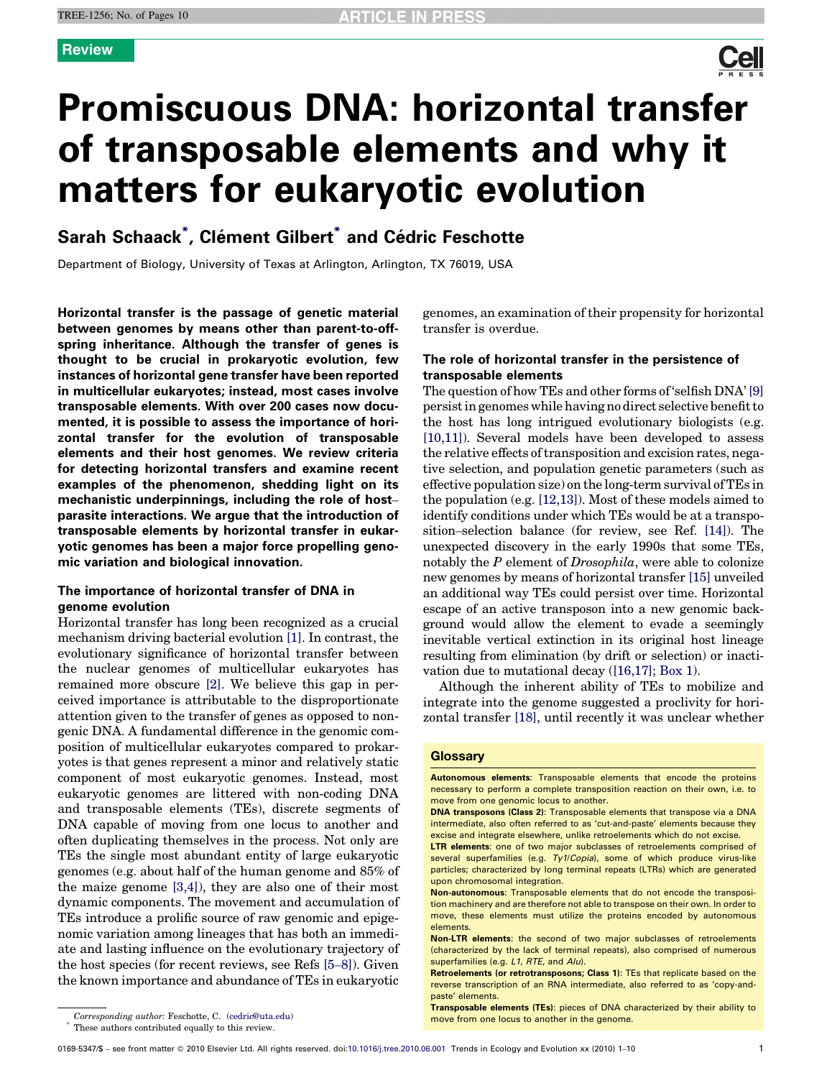

# Promiscuous DNA: horizontal transfer of transposable elements and why it matters for eukaryotic evolution

# Sarah Schaack<sup>\*</sup>, Clément Gilbert<sup>\*</sup> and Cédric Feschotte

Department of Biology, University of Texas at Arlington, Arlington, TX 76019, USA

Horizontal transfer is the passage of genetic material between genomes by means other than parent-to-offspring inheritance. Although the transfer of genes is thought to be crucial in prokaryotic evolution, few instances of horizontal gene transfer have been reported in multicellular eukaryotes; instead, most cases involve transposable elements. With over 200 cases now documented, it is possible to assess the importance of horizontal transfer for the evolution of transposable elements and their host genomes. We review criteria for detecting horizontal transfers and examine recent examples of the phenomenon, shedding light on its mechanistic underpinnings, including the role of host– parasite interactions. We argue that the introduction of transposable elements by horizontal transfer in eukaryotic genomes has been a major force propelling genomic variation and biological innovation.

# The importance of horizontal transfer of DNA in genome evolution

Horizontal transfer has long been recognized as a crucial mechanism driving bacterial evolution [\[1\]](#page-7-0). In contrast, the evolutionary significance of horizontal transfer between the nuclear genomes of multicellular eukaryotes has remained more obscure [\[2\].](#page-7-0) We believe this gap in perceived importance is attributable to the disproportionate attention given to the transfer of genes as opposed to nongenic DNA. A fundamental difference in the genomic composition of multicellular eukaryotes compared to prokaryotes is that genes represent a minor and relatively static component of most eukaryotic genomes. Instead, most eukaryotic genomes are littered with non-coding DNA and transposable elements (TEs), discrete segments of DNA capable of moving from one locus to another and often duplicating themselves in the process. Not only are TEs the single most abundant entity of large eukaryotic genomes (e.g. about half of the human genome and 85% of the maize genome [\[3,4\]](#page-7-0)), they are also one of their most dynamic components. The movement and accumulation of TEs introduce a prolific source of raw genomic and epigenomic variation among lineages that has both an immediate and lasting influence on the evolutionary trajectory of the host species (for recent reviews, see Refs [\[5](#page-7-0)–8]). Given the known importance and abundance of TEs in eukaryotic

genomes, an examination of their propensity for horizontal transfer is overdue.

# The role of horizontal transfer in the persistence of transposable elements

The question of how TEs and other forms of 'selfish DNA' [\[9\]](#page-7-0) persist in genomes while having no direct selective benefit to the host has long intrigued evolutionary biologists (e.g. [\[10,11\]\)](#page-7-0). Several models have been developed to assess the relative effects of transposition and excision rates, negative selection, and population genetic parameters (such as effective population size) on the long-term survival of TEs in the population (e.g. [\[12,13\]](#page-7-0)). Most of these models aimed to identify conditions under which TEs would be at a transposition–selection balance (for review, see Ref. [\[14\]](#page-7-0)). The unexpected discovery in the early 1990s that some TEs, notably the P element of Drosophila, were able to colonize new genomes by means of horizontal transfer [\[15\]](#page-7-0) unveiled an additional way TEs could persist over time. Horizontal escape of an active transposon into a new genomic background would allow the element to evade a seemingly inevitable vertical extinction in its original host lineage resulting from elimination (by drift or selection) or inactivation due to mutational decay [\(\[16,17\];](#page-7-0) [Box 1](#page-1-0)).

Although the inherent ability of TEs to mobilize and integrate into the genome suggested a proclivity for horizontal transfer [\[18\]](#page-7-0), until recently it was unclear whether

### **Glossary**

Autonomous elements: Transposable elements that encode the proteins necessary to perform a complete transposition reaction on their own, i.e. to move from one genomic locus to another.

LTR elements: one of two major subclasses of retroelements comprised of several superfamilies (e.g. Ty1/Copia), some of which produce virus-like particles; characterized by long terminal repeats (LTRs) which are generated upon chromosomal integration.

DNA transposons (Class 2): Transposable elements that transpose via a DNA intermediate, also often referred to as 'cut-and-paste' elements because they excise and integrate elsewhere, unlike retroelements which do not excise.

Non-autonomous: Transposable elements that do not encode the transposition machinery and are therefore not able to transpose on their own. In order to move, these elements must utilize the proteins encoded by autonomous elements.

Non-LTR elements: the second of two major subclasses of retroelements (characterized by the lack of terminal repeats), also comprised of numerous superfamilies (e.g. L1, RTE, and Alu).

Retroelements (or retrotransposons; Class 1): TEs that replicate based on the reverse transcription of an RNA intermediate, also referred to as 'copy-andpaste' elements.

Transposable elements (TEs): pieces of DNA characterized by their ability to move from one locus to another in the genome.

Corresponding author: Feschotte, C. [\(cedric@uta.edu\)](mailto:cedric@uta.edu)

These authors contributed equally to this review.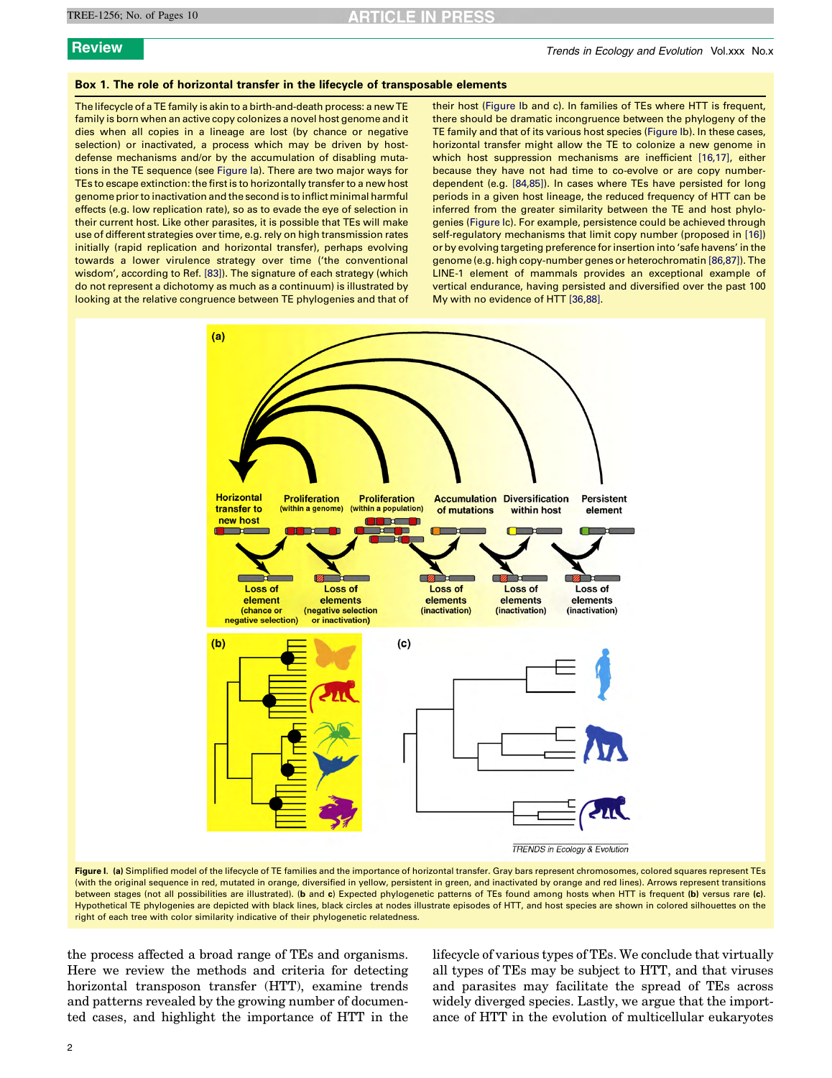# RTICLE IN PRES

## <span id="page-1-0"></span>Box 1. The role of horizontal transfer in the lifecycle of transposable elements

The lifecycle of a TE family is akin to a birth-and-death process: a new TE family is born when an active copy colonizes a novel host genome and it dies when all copies in a lineage are lost (by chance or negative selection) or inactivated, a process which may be driven by hostdefense mechanisms and/or by the accumulation of disabling mutations in the TE sequence (see Figure Ia). There are two major ways for TEs to escape extinction: the first is to horizontally transfer to a new host genome prior to inactivation and the second is to inflict minimal harmful effects (e.g. low replication rate), so as to evade the eye of selection in their current host. Like other parasites, it is possible that TEs will make use of different strategies over time, e.g. rely on high transmission rates initially (rapid replication and horizontal transfer), perhaps evolving towards a lower virulence strategy over time ('the conventional wisdom', according to Ref. [\[83\]](#page-9-0)). The signature of each strategy (which do not represent a dichotomy as much as a continuum) is illustrated by looking at the relative congruence between TE phylogenies and that of their host (Figure Ib and c). In families of TEs where HTT is frequent, there should be dramatic incongruence between the phylogeny of the TE family and that of its various host species (Figure Ib). In these cases, horizontal transfer might allow the TE to colonize a new genome in which host suppression mechanisms are inefficient [\[16,17\]](#page-7-0), either because they have not had time to co-evolve or are copy numberdependent (e.g. [\[84,85\]](#page-9-0)). In cases where TEs have persisted for long periods in a given host lineage, the reduced frequency of HTT can be inferred from the greater similarity between the TE and host phylogenies (Figure Ic). For example, persistence could be achieved through self-regulatory mechanisms that limit copy number (proposed in [\[16\]](#page-7-0)) or by evolving targeting preference for insertion into 'safe havens' in the genome (e.g. high copy-number genes or heterochromatin [\[86,87\]\)](#page-9-0). The LINE-1 element of mammals provides an exceptional example of vertical endurance, having persisted and diversified over the past 100 My with no evidence of HTT [\[36,88\]](#page-8-0).



Figure I. (a) Simplified model of the lifecycle of TE families and the importance of horizontal transfer. Gray bars represent chromosomes, colored squares represent TEs (with the original sequence in red, mutated in orange, diversified in yellow, persistent in green, and inactivated by orange and red lines). Arrows represent transitions between stages (not all possibilities are illustrated). (b and c) Expected phylogenetic patterns of TEs found among hosts when HTT is frequent (b) versus rare (c). Hypothetical TE phylogenies are depicted with black lines, black circles at nodes illustrate episodes of HTT, and host species are shown in colored silhouettes on the right of each tree with color similarity indicative of their phylogenetic relatedness.

the process affected a broad range of TEs and organisms. Here we review the methods and criteria for detecting horizontal transposon transfer (HTT), examine trends and patterns revealed by the growing number of documented cases, and highlight the importance of HTT in the lifecycle of various types of TEs. We conclude that virtually all types of TEs may be subject to HTT, and that viruses and parasites may facilitate the spread of TEs across widely diverged species. Lastly, we argue that the importance of HTT in the evolution of multicellular eukaryotes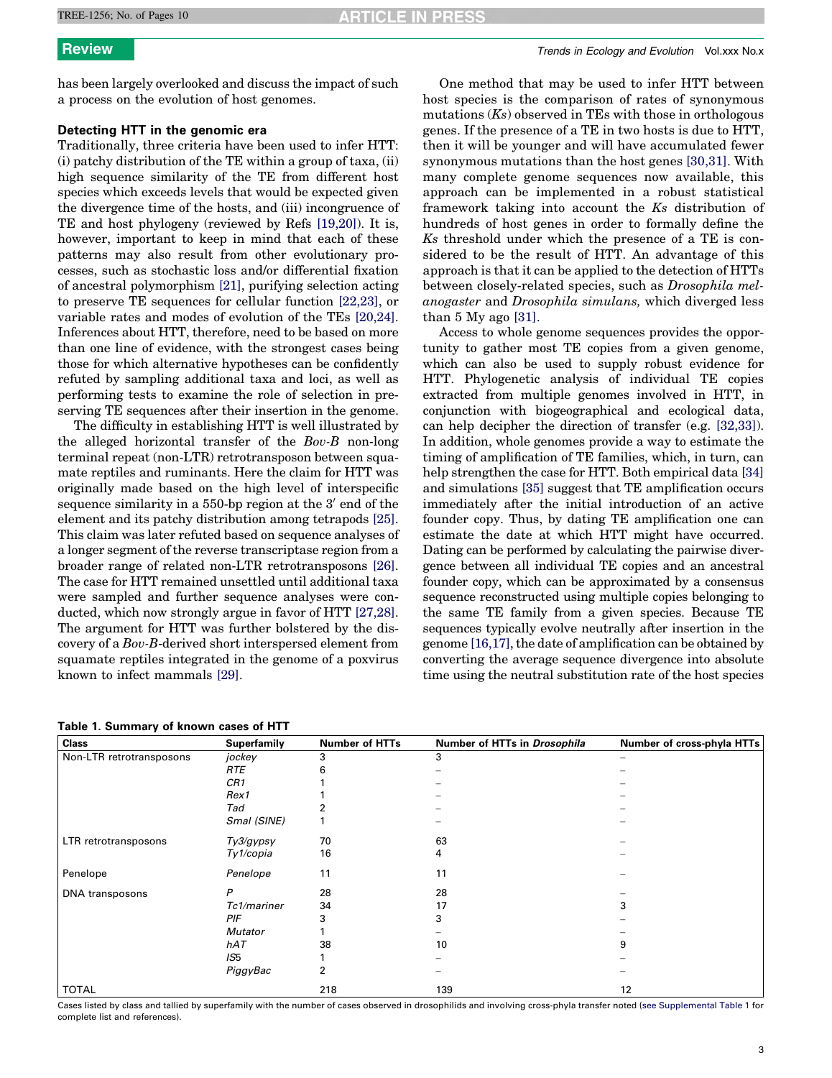**TICLE IN PRES** 

<span id="page-2-0"></span>has been largely overlooked and discuss the impact of such a process on the evolution of host genomes.

# Detecting HTT in the genomic era

Traditionally, three criteria have been used to infer HTT: (i) patchy distribution of the TE within a group of taxa, (ii) high sequence similarity of the TE from different host species which exceeds levels that would be expected given the divergence time of the hosts, and (iii) incongruence of TE and host phylogeny (reviewed by Refs [\[19,20\]\)](#page-7-0). It is, however, important to keep in mind that each of these patterns may also result from other evolutionary processes, such as stochastic loss and/or differential fixation of ancestral polymorphism [\[21\],](#page-7-0) purifying selection acting to preserve TE sequences for cellular function [\[22,23\],](#page-7-0) or variable rates and modes of evolution of the TEs [\[20,24\]](#page-7-0). Inferences about HTT, therefore, need to be based on more than one line of evidence, with the strongest cases being those for which alternative hypotheses can be confidently refuted by sampling additional taxa and loci, as well as performing tests to examine the role of selection in preserving TE sequences after their insertion in the genome.

The difficulty in establishing HTT is well illustrated by the alleged horizontal transfer of the Bov-B non-long terminal repeat (non-LTR) retrotransposon between squamate reptiles and ruminants. Here the claim for HTT was originally made based on the high level of interspecific sequence similarity in a  $550$ -bp region at the  $3'$  end of the element and its patchy distribution among tetrapods [\[25\]](#page-7-0). This claim was later refuted based on sequence analyses of a longer segment of the reverse transcriptase region from a broader range of related non-LTR retrotransposons [\[26\]](#page-7-0). The case for HTT remained unsettled until additional taxa were sampled and further sequence analyses were conducted, which now strongly argue in favor of HTT [\[27,28\]](#page-8-0). The argument for HTT was further bolstered by the discovery of a Bov-B-derived short interspersed element from squamate reptiles integrated in the genome of a poxvirus known to infect mammals [\[29\]](#page-8-0).

| Table 1. Summary of known cases of HTT |  |  |
|----------------------------------------|--|--|
|----------------------------------------|--|--|

One method that may be used to infer HTT between host species is the comparison of rates of synonymous mutations  $(K<sub>s</sub>)$  observed in TEs with those in orthologous genes. If the presence of a TE in two hosts is due to HTT, then it will be younger and will have accumulated fewer synonymous mutations than the host genes [\[30,31\].](#page-8-0) With many complete genome sequences now available, this approach can be implemented in a robust statistical framework taking into account the Ks distribution of hundreds of host genes in order to formally define the Ks threshold under which the presence of a TE is considered to be the result of HTT. An advantage of this approach is that it can be applied to the detection of HTTs between closely-related species, such as Drosophila melanogaster and Drosophila simulans, which diverged less than  $5 \text{ My ago } [31]$  $5 \text{ My ago } [31]$ .

Access to whole genome sequences provides the opportunity to gather most TE copies from a given genome, which can also be used to supply robust evidence for HTT. Phylogenetic analysis of individual TE copies extracted from multiple genomes involved in HTT, in conjunction with biogeographical and ecological data, can help decipher the direction of transfer (e.g. [\[32,33\]\)](#page-8-0). In addition, whole genomes provide a way to estimate the timing of amplification of TE families, which, in turn, can help strengthen the case for HTT. Both empirical data [\[34\]](#page-8-0) and simulations [\[35\]](#page-8-0) suggest that TE amplification occurs immediately after the initial introduction of an active founder copy. Thus, by dating TE amplification one can estimate the date at which HTT might have occurred. Dating can be performed by calculating the pairwise divergence between all individual TE copies and an ancestral founder copy, which can be approximated by a consensus sequence reconstructed using multiple copies belonging to the same TE family from a given species. Because TE sequences typically evolve neutrally after insertion in the genome [\[16,17\],](#page-7-0) the date of amplification can be obtained by converting the average sequence divergence into absolute time using the neutral substitution rate of the host species

| <b>Class</b>             | Superfamily     | <b>Number of HTTs</b> | Number of HTTs in Drosophila | Number of cross-phyla HTTs |
|--------------------------|-----------------|-----------------------|------------------------------|----------------------------|
| Non-LTR retrotransposons | jockey          | 3                     | 3                            |                            |
|                          | <b>RTE</b>      |                       |                              |                            |
|                          | CR <sub>1</sub> |                       |                              |                            |
|                          | Rex1            |                       |                              |                            |
|                          | Tad             |                       |                              |                            |
|                          | Smal (SINE)     |                       |                              |                            |
| LTR retrotransposons     | Ty3/gypsy       | 70                    | 63                           |                            |
|                          | Ty1/copia       | 16                    | 4                            |                            |
| Penelope                 | Penelope        | 11                    | 11                           |                            |
| DNA transposons          | P               | 28                    | 28                           |                            |
|                          | Tc1/mariner     | 34                    | 17                           | 3                          |
|                          | PIF             | 3                     | 3                            |                            |
|                          | <b>Mutator</b>  |                       |                              |                            |
|                          | hAT             | 38                    | 10                           | 9                          |
|                          | IS <sub>5</sub> |                       |                              |                            |
|                          | PiggyBac        | 2                     |                              |                            |
| <b>TOTAL</b>             |                 | 218                   | 139                          | 12                         |

Cases listed by class and tallied by superfamily with the number of cases observed in drosophilids and involving cross-phyla transfer noted [\(see Supplemental Table 1](#page-7-0) for complete list and references).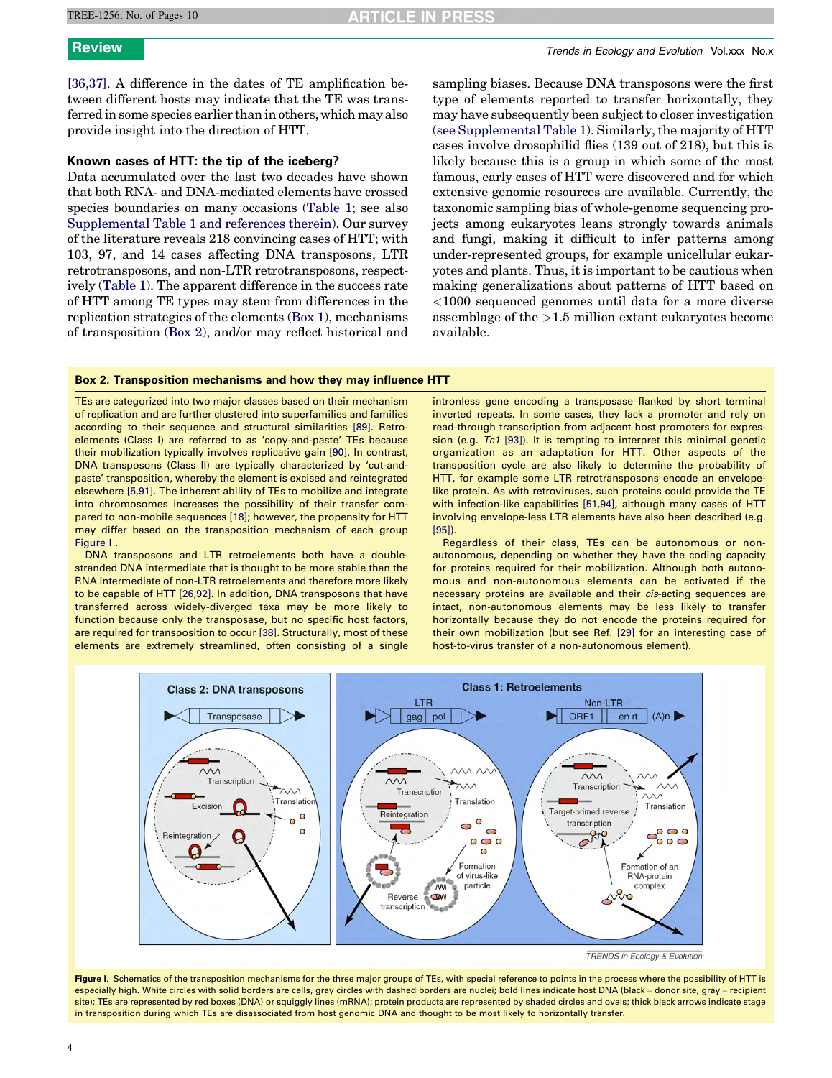### <span id="page-3-0"></span>TREE-1256; No. of Pages 10

# **ARTICLE IN PRESS**

[\[36,37\].](#page-8-0) A difference in the dates of TE amplification between different hosts may indicate that the TE was transferred in some species earlier than in others, which may also provide insight into the direction of HTT.

# Known cases of HTT: the tip of the iceberg?

Data accumulated over the last two decades have shown that both RNA- and DNA-mediated elements have crossed species boundaries on many occasions ([Table 1](#page-2-0); see also Supplemental Table 1 and references therein). Our survey of the literature reveals 218 convincing cases of HTT; with 103, 97, and 14 cases affecting DNA transposons, LTR retrotransposons, and non-LTR retrotransposons, respectively ([Table 1\)](#page-2-0). The apparent difference in the success rate of HTT among TE types may stem from differences in the replication strategies of the elements ([Box 1\)](#page-1-0), mechanisms of transposition (Box 2), and/or may reflect historical and sampling biases. Because DNA transposons were the first type of elements reported to transfer horizontally, they may have subsequently been subject to closer investigation (see Supplemental Table 1). Similarly, the majority of HTT cases involve drosophilid flies (139 out of 218), but this is likely because this is a group in which some of the most famous, early cases of HTT were discovered and for which extensive genomic resources are available. Currently, the taxonomic sampling bias of whole-genome sequencing projects among eukaryotes leans strongly towards animals and fungi, making it difficult to infer patterns among under-represented groups, for example unicellular eukaryotes and plants. Thus, it is important to be cautious when making generalizations about patterns of HTT based on <1000 sequenced genomes until data for a more diverse assemblage of the >1.5 million extant eukaryotes become available.

# Box 2. Transposition mechanisms and how they may influence HTT

TEs are categorized into two major classes based on their mechanism of replication and are further clustered into superfamilies and families according to their sequence and structural similarities [\[89\]](#page-9-0). Retroelements (Class I) are referred to as 'copy-and-paste' TEs because their mobilization typically involves replicative gain [\[90\].](#page-9-0) In contrast, DNA transposons (Class II) are typically characterized by 'cut-andpaste' transposition, whereby the element is excised and reintegrated elsewhere [\[5,91\].](#page-7-0) The inherent ability of TEs to mobilize and integrate into chromosomes increases the possibility of their transfer compared to non-mobile sequences [\[18\]](#page-7-0); however, the propensity for HTT may differ based on the transposition mechanism of each group Figure I .

DNA transposons and LTR retroelements both have a doublestranded DNA intermediate that is thought to be more stable than the RNA intermediate of non-LTR retroelements and therefore more likely to be capable of HTT [\[26,92\].](#page-7-0) In addition, DNA transposons that have transferred across widely-diverged taxa may be more likely to function because only the transposase, but no specific host factors, are required for transposition to occur [\[38\].](#page-8-0) Structurally, most of these elements are extremely streamlined, often consisting of a single

intronless gene encoding a transposase flanked by short terminal inverted repeats. In some cases, they lack a promoter and rely on read-through transcription from adjacent host promoters for expression (e.g. Tc1 [\[93\]\)](#page-9-0). It is tempting to interpret this minimal genetic organization as an adaptation for HTT. Other aspects of the transposition cycle are also likely to determine the probability of HTT, for example some LTR retrotransposons encode an envelopelike protein. As with retroviruses, such proteins could provide the TE with infection-like capabilities [\[51,94\],](#page-8-0) although many cases of HTT involving envelope-less LTR elements have also been described (e.g. [\[95\]\)](#page-9-0).

Regardless of their class, TEs can be autonomous or nonautonomous, depending on whether they have the coding capacity for proteins required for their mobilization. Although both autonomous and non-autonomous elements can be activated if the necessary proteins are available and their cis-acting sequences are intact, non-autonomous elements may be less likely to transfer horizontally because they do not encode the proteins required for their own mobilization (but see Ref. [\[29\]](#page-8-0) for an interesting case of host-to-virus transfer of a non-autonomous element).



TRENDS in Ecology & Evolution

Figure I. Schematics of the transposition mechanisms for the three major groups of TEs, with special reference to points in the process where the possibility of HTT is especially high. White circles with solid borders are cells, gray circles with dashed borders are nuclei; bold lines indicate host DNA (black = donor site, gray = recipient site); TEs are represented by red boxes (DNA) or squiggly lines (mRNA); protein products are represented by shaded circles and ovals; thick black arrows indicate stage in transposition during which TEs are disassociated from host genomic DNA and thought to be most likely to horizontally transfer.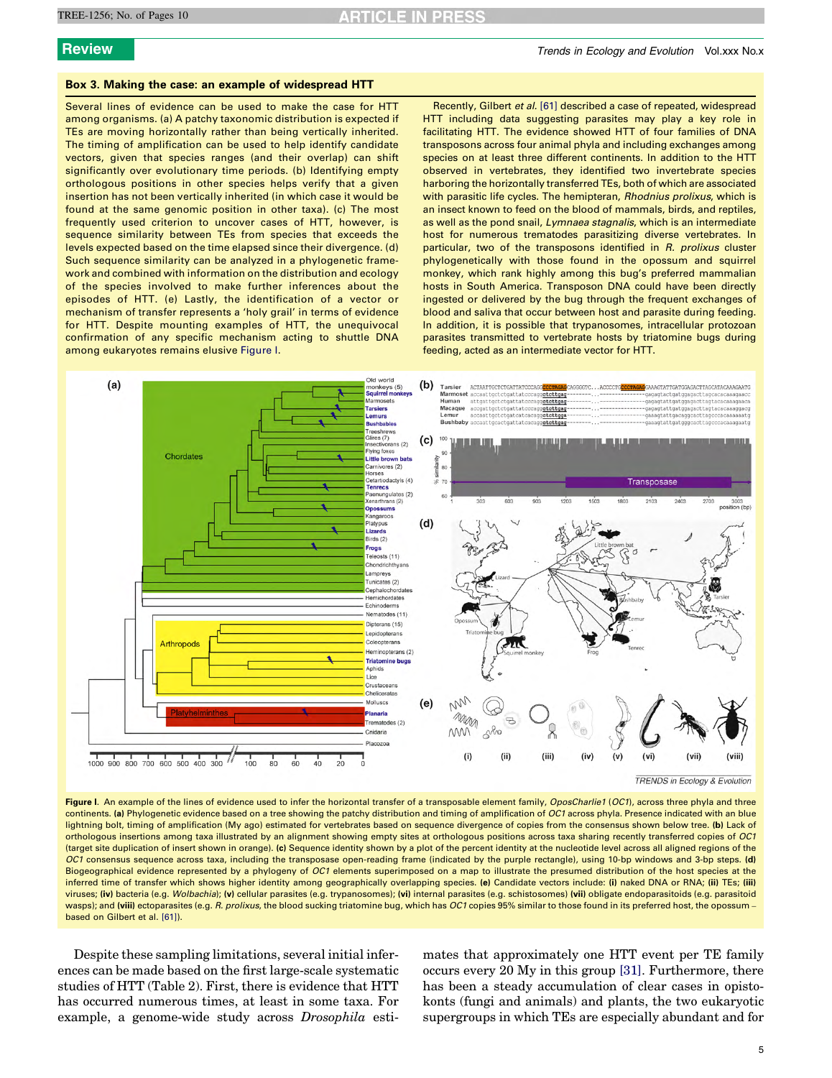# <span id="page-4-0"></span>Box 3. Making the case: an example of widespread HTT

Several lines of evidence can be used to make the case for HTT among organisms. (a) A patchy taxonomic distribution is expected if TEs are moving horizontally rather than being vertically inherited. The timing of amplification can be used to help identify candidate vectors, given that species ranges (and their overlap) can shift significantly over evolutionary time periods. (b) Identifying empty orthologous positions in other species helps verify that a given insertion has not been vertically inherited (in which case it would be found at the same genomic position in other taxa). (c) The most frequently used criterion to uncover cases of HTT, however, is sequence similarity between TEs from species that exceeds the levels expected based on the time elapsed since their divergence. (d) Such sequence similarity can be analyzed in a phylogenetic framework and combined with information on the distribution and ecology of the species involved to make further inferences about the episodes of HTT. (e) Lastly, the identification of a vector or mechanism of transfer represents a 'holy grail' in terms of evidence for HTT. Despite mounting examples of HTT, the unequivocal confirmation of any specific mechanism acting to shuttle DNA among eukaryotes remains elusive Figure I.

Recently, Gilbert et al. [\[61\]](#page-8-0) described a case of repeated, widespread HTT including data suggesting parasites may play a key role in facilitating HTT. The evidence showed HTT of four families of DNA transposons across four animal phyla and including exchanges among species on at least three different continents. In addition to the HTT observed in vertebrates, they identified two invertebrate species harboring the horizontally transferred TEs, both of which are associated with parasitic life cycles. The hemipteran, Rhodnius prolixus, which is an insect known to feed on the blood of mammals, birds, and reptiles, as well as the pond snail, Lymnaea stagnalis, which is an intermediate host for numerous trematodes parasitizing diverse vertebrates. In particular, two of the transposons identified in R. prolixus cluster phylogenetically with those found in the opossum and squirrel monkey, which rank highly among this bug's preferred mammalian hosts in South America. Transposon DNA could have been directly ingested or delivered by the bug through the frequent exchanges of blood and saliva that occur between host and parasite during feeding. In addition, it is possible that trypanosomes, intracellular protozoan parasites transmitted to vertebrate hosts by triatomine bugs during feeding, acted as an intermediate vector for HTT.



**TRENDS in Ecology & Evolution** 

Figure I. An example of the lines of evidence used to infer the horizontal transfer of a transposable element family, OposCharlie1 (OC1), across three phyla and three continents. (a) Phylogenetic evidence based on a tree showing the patchy distribution and timing of amplification of OC1 across phyla. Presence indicated with an blue lightning bolt, timing of amplification (My ago) estimated for vertebrates based on sequence divergence of copies from the consensus shown below tree. (b) Lack of orthologous insertions among taxa illustrated by an alignment showing empty sites at orthologous positions across taxa sharing recently transferred copies of OC1 (target site duplication of insert shown in orange). (c) Sequence identity shown by a plot of the percent identity at the nucleotide level across all aligned regions of the OC1 consensus sequence across taxa, including the transposase open-reading frame (indicated by the purple rectangle), using 10-bp windows and 3-bp steps. (d) Biogeographical evidence represented by a phylogeny of OC1 elements superimposed on a map to illustrate the presumed distribution of the host species at the inferred time of transfer which shows higher identity among geographically overlapping species. (e) Candidate vectors include: (i) naked DNA or RNA; (ii) TEs; (iii) viruses; (iv) bacteria (e.g. Wolbachia); (v) cellular parasites (e.g. trypanosomes); (vi) internal parasites (e.g. schistosomes) (vii) obligate endoparasitoids (e.g. parasitoid wasps); and (viii) ectoparasites (e.g. R. prolixus, the blood sucking triatomine bug, which has OC1 copies 95% similar to those found in its preferred host, the opossum based on Gilbert et al. [\[61\]](#page-8-0)).

Despite these sampling limitations, several initial inferences can be made based on the first large-scale systematic studies of HTT (Table 2). First, there is evidence that HTT has occurred numerous times, at least in some taxa. For example, a genome-wide study across Drosophila esti-

mates that approximately one HTT event per TE family occurs every 20 My in this group [\[31\].](#page-8-0) Furthermore, there has been a steady accumulation of clear cases in opistokonts (fungi and animals) and plants, the two eukaryotic supergroups in which TEs are especially abundant and for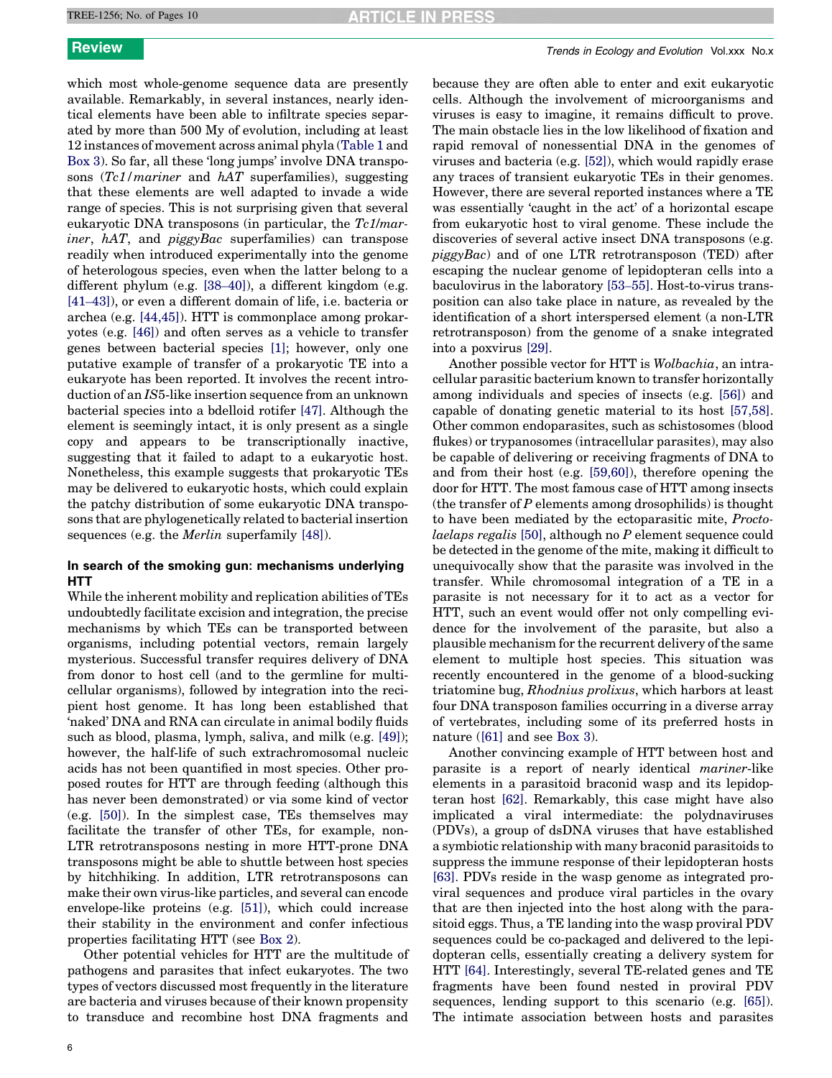which most whole-genome sequence data are presently available. Remarkably, in several instances, nearly identical elements have been able to infiltrate species separated by more than 500 My of evolution, including at least 12 instances of movement across animal phyla [\(Table 1](#page-2-0) and [Box 3\)](#page-4-0). So far, all these 'long jumps' involve DNA transposons  $(Tc1/mariner$  and  $hAT$  superfamilies), suggesting that these elements are well adapted to invade a wide range of species. This is not surprising given that several eukaryotic DNA transposons (in particular, the Tc1/mar*iner*,  $hAT$ , and  $piggyBac$  superfamilies) can transpose readily when introduced experimentally into the genome of heterologous species, even when the latter belong to a different phylum (e.g. [\[38](#page-8-0)–40]), a different kingdom (e.g. [41–[43\]](#page-8-0)), or even a different domain of life, i.e. bacteria or archea (e.g. [\[44,45\]](#page-8-0)). HTT is commonplace among prokaryotes (e.g. [\[46\]](#page-8-0)) and often serves as a vehicle to transfer genes between bacterial species [\[1\];](#page-7-0) however, only one putative example of transfer of a prokaryotic TE into a eukaryote has been reported. It involves the recent introduction of an IS5-like insertion sequence from an unknown bacterial species into a bdelloid rotifer [\[47\].](#page-8-0) Although the element is seemingly intact, it is only present as a single copy and appears to be transcriptionally inactive, suggesting that it failed to adapt to a eukaryotic host. Nonetheless, this example suggests that prokaryotic TEs may be delivered to eukaryotic hosts, which could explain the patchy distribution of some eukaryotic DNA transposons that are phylogenetically related to bacterial insertion sequences (e.g. the Merlin superfamily [\[48\]\)](#page-8-0).

# In search of the smoking gun: mechanisms underlying **HTT**

While the inherent mobility and replication abilities of TEs undoubtedly facilitate excision and integration, the precise mechanisms by which TEs can be transported between organisms, including potential vectors, remain largely mysterious. Successful transfer requires delivery of DNA from donor to host cell (and to the germline for multicellular organisms), followed by integration into the recipient host genome. It has long been established that 'naked' DNA and RNA can circulate in animal bodily fluids such as blood, plasma, lymph, saliva, and milk (e.g. [\[49\]](#page-8-0)); however, the half-life of such extrachromosomal nucleic acids has not been quantified in most species. Other proposed routes for HTT are through feeding (although this has never been demonstrated) or via some kind of vector (e.g. [\[50\]\)](#page-8-0). In the simplest case, TEs themselves may facilitate the transfer of other TEs, for example, non-LTR retrotransposons nesting in more HTT-prone DNA transposons might be able to shuttle between host species by hitchhiking. In addition, LTR retrotransposons can make their own virus-like particles, and several can encode envelope-like proteins (e.g. [\[51\]\)](#page-8-0), which could increase their stability in the environment and confer infectious properties facilitating HTT (see [Box 2](#page-3-0)).

Other potential vehicles for HTT are the multitude of pathogens and parasites that infect eukaryotes. The two types of vectors discussed most frequently in the literature are bacteria and viruses because of their known propensity to transduce and recombine host DNA fragments and

because they are often able to enter and exit eukaryotic cells. Although the involvement of microorganisms and viruses is easy to imagine, it remains difficult to prove. The main obstacle lies in the low likelihood of fixation and rapid removal of nonessential DNA in the genomes of viruses and bacteria (e.g. [\[52\]\)](#page-8-0), which would rapidly erase any traces of transient eukaryotic TEs in their genomes. However, there are several reported instances where a TE was essentially 'caught in the act' of a horizontal escape from eukaryotic host to viral genome. These include the discoveries of several active insect DNA transposons (e.g.  $piggyBac$ ) and of one LTR retrotransposon (TED) after escaping the nuclear genome of lepidopteran cells into a baculovirus in the laboratory [53–[55\].](#page-8-0) Host-to-virus transposition can also take place in nature, as revealed by the identification of a short interspersed element (a non-LTR retrotransposon) from the genome of a snake integrated into a poxvirus [\[29\]](#page-8-0).

Another possible vector for HTT is Wolbachia, an intracellular parasitic bacterium known to transfer horizontally among individuals and species of insects (e.g. [\[56\]\)](#page-8-0) and capable of donating genetic material to its host [\[57,58\]](#page-8-0). Other common endoparasites, such as schistosomes (blood flukes) or trypanosomes (intracellular parasites), may also be capable of delivering or receiving fragments of DNA to and from their host (e.g. [\[59,60\]](#page-8-0)), therefore opening the door for HTT. The most famous case of HTT among insects (the transfer of  $P$  elements among drosophilids) is thought to have been mediated by the ectoparasitic mite, Proctolaelaps regalis [\[50\],](#page-8-0) although no P element sequence could be detected in the genome of the mite, making it difficult to unequivocally show that the parasite was involved in the transfer. While chromosomal integration of a TE in a parasite is not necessary for it to act as a vector for HTT, such an event would offer not only compelling evidence for the involvement of the parasite, but also a plausible mechanism for the recurrent delivery of the same element to multiple host species. This situation was recently encountered in the genome of a blood-sucking triatomine bug, Rhodnius prolixus, which harbors at least four DNA transposon families occurring in a diverse array of vertebrates, including some of its preferred hosts in nature ([\[61\]](#page-8-0) and see [Box 3](#page-4-0)).

Another convincing example of HTT between host and parasite is a report of nearly identical mariner-like elements in a parasitoid braconid wasp and its lepidopteran host [\[62\].](#page-8-0) Remarkably, this case might have also implicated a viral intermediate: the polydnaviruses (PDVs), a group of dsDNA viruses that have established a symbiotic relationship with many braconid parasitoids to suppress the immune response of their lepidopteran hosts [\[63\]](#page-8-0). PDVs reside in the wasp genome as integrated proviral sequences and produce viral particles in the ovary that are then injected into the host along with the parasitoid eggs. Thus, a TE landing into the wasp proviral PDV sequences could be co-packaged and delivered to the lepidopteran cells, essentially creating a delivery system for HTT [\[64\]](#page-8-0). Interestingly, several TE-related genes and TE fragments have been found nested in proviral PDV sequences, lending support to this scenario (e.g. [\[65\]](#page-8-0)). The intimate association between hosts and parasites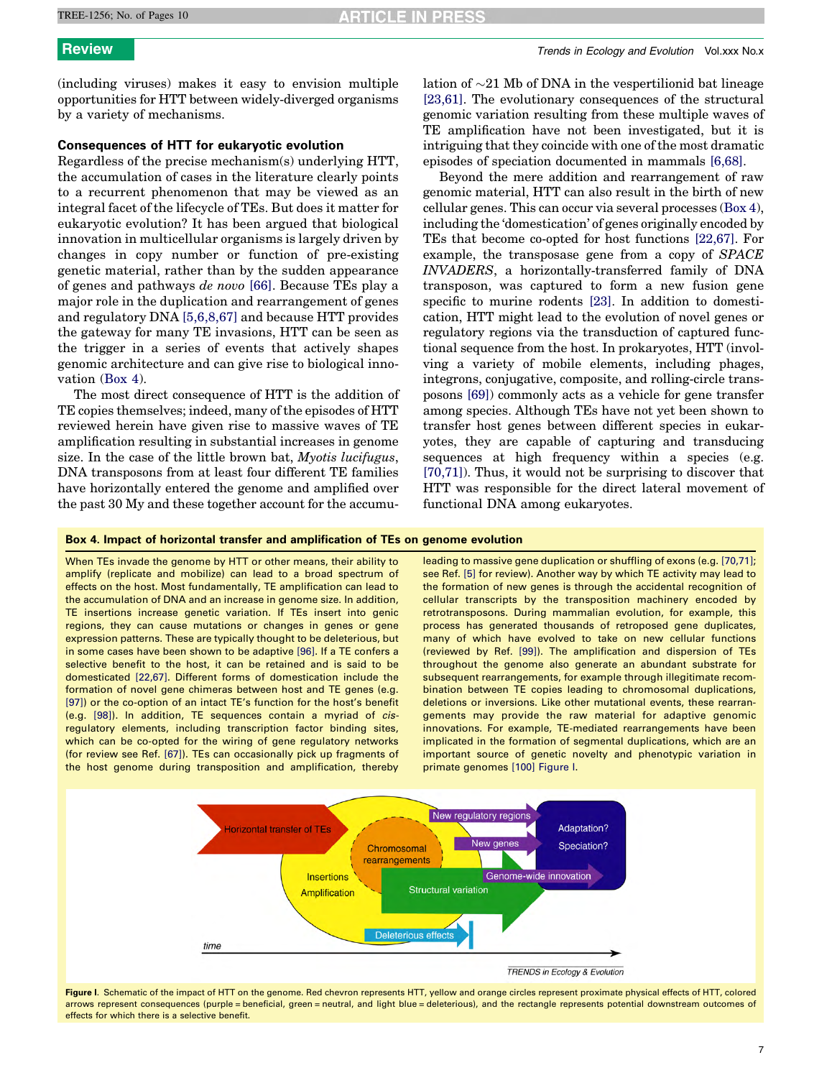(including viruses) makes it easy to envision multiple opportunities for HTT between widely-diverged organisms by a variety of mechanisms.

# Consequences of HTT for eukaryotic evolution

Regardless of the precise mechanism(s) underlying HTT, the accumulation of cases in the literature clearly points to a recurrent phenomenon that may be viewed as an integral facet of the lifecycle of TEs. But does it matter for eukaryotic evolution? It has been argued that biological innovation in multicellular organisms is largely driven by changes in copy number or function of pre-existing genetic material, rather than by the sudden appearance of genes and pathways de novo [\[66\]](#page-8-0). Because TEs play a major role in the duplication and rearrangement of genes and regulatory DNA [\[5,6,8,67\]](#page-7-0) and because HTT provides the gateway for many TE invasions, HTT can be seen as the trigger in a series of events that actively shapes genomic architecture and can give rise to biological innovation (Box 4).

The most direct consequence of HTT is the addition of TE copies themselves; indeed, many of the episodes of HTT reviewed herein have given rise to massive waves of TE amplification resulting in substantial increases in genome size. In the case of the little brown bat, Myotis lucifugus, DNA transposons from at least four different TE families have horizontally entered the genome and amplified over the past 30 My and these together account for the accumu-

lation of  $\sim$ 21 Mb of DNA in the vespertilionid bat lineage [\[23,61\]](#page-7-0). The evolutionary consequences of the structural genomic variation resulting from these multiple waves of TE amplification have not been investigated, but it is intriguing that they coincide with one of the most dramatic episodes of speciation documented in mammals [\[6,68\]](#page-7-0).

Beyond the mere addition and rearrangement of raw genomic material, HTT can also result in the birth of new cellular genes. This can occur via several processes (Box 4), including the 'domestication' of genes originally encoded by TEs that become co-opted for host functions [\[22,67\]](#page-7-0). For example, the transposase gene from a copy of SPACE INVADERS, a horizontally-transferred family of DNA transposon, was captured to form a new fusion gene specific to murine rodents [\[23\]](#page-7-0). In addition to domestication, HTT might lead to the evolution of novel genes or regulatory regions via the transduction of captured functional sequence from the host. In prokaryotes, HTT (involving a variety of mobile elements, including phages, integrons, conjugative, composite, and rolling-circle transposons [\[69\]\)](#page-8-0) commonly acts as a vehicle for gene transfer among species. Although TEs have not yet been shown to transfer host genes between different species in eukaryotes, they are capable of capturing and transducing sequences at high frequency within a species (e.g. [\[70,71\]](#page-8-0)). Thus, it would not be surprising to discover that HTT was responsible for the direct lateral movement of functional DNA among eukaryotes.

# Box 4. Impact of horizontal transfer and amplification of TEs on genome evolution

When TEs invade the genome by HTT or other means, their ability to amplify (replicate and mobilize) can lead to a broad spectrum of effects on the host. Most fundamentally, TE amplification can lead to the accumulation of DNA and an increase in genome size. In addition, TE insertions increase genetic variation. If TEs insert into genic regions, they can cause mutations or changes in genes or gene expression patterns. These are typically thought to be deleterious, but in some cases have been shown to be adaptive [\[96\].](#page-9-0) If a TE confers a selective benefit to the host, it can be retained and is said to be domesticated [\[22,67\]](#page-7-0). Different forms of domestication include the formation of novel gene chimeras between host and TE genes (e.g. [\[97\]](#page-9-0)) or the co-option of an intact TE's function for the host's benefit (e.g. [\[98\]](#page-9-0)). In addition, TE sequences contain a myriad of cisregulatory elements, including transcription factor binding sites, which can be co-opted for the wiring of gene regulatory networks (for review see Ref. [\[67\]](#page-8-0)). TEs can occasionally pick up fragments of the host genome during transposition and amplification, thereby

leading to massive gene duplication or shuffling of exons (e.g. [\[70,71\];](#page-8-0) see Ref. [\[5\]](#page-7-0) for review). Another way by which TE activity may lead to the formation of new genes is through the accidental recognition of cellular transcripts by the transposition machinery encoded by retrotransposons. During mammalian evolution, for example, this process has generated thousands of retroposed gene duplicates, many of which have evolved to take on new cellular functions (reviewed by Ref. [\[99\]](#page-9-0)). The amplification and dispersion of TEs throughout the genome also generate an abundant substrate for subsequent rearrangements, for example through illegitimate recombination between TE copies leading to chromosomal duplications, deletions or inversions. Like other mutational events, these rearrangements may provide the raw material for adaptive genomic innovations. For example, TE-mediated rearrangements have been implicated in the formation of segmental duplications, which are an important source of genetic novelty and phenotypic variation in primate genomes [\[100\]](#page-9-0) Figure I.



Figure I. Schematic of the impact of HTT on the genome. Red chevron represents HTT, yellow and orange circles represent proximate physical effects of HTT, colored arrows represent consequences (purple = beneficial, green = neutral, and light blue = deleterious), and the rectangle represents potential downstream outcomes of effects for which there is a selective benefit.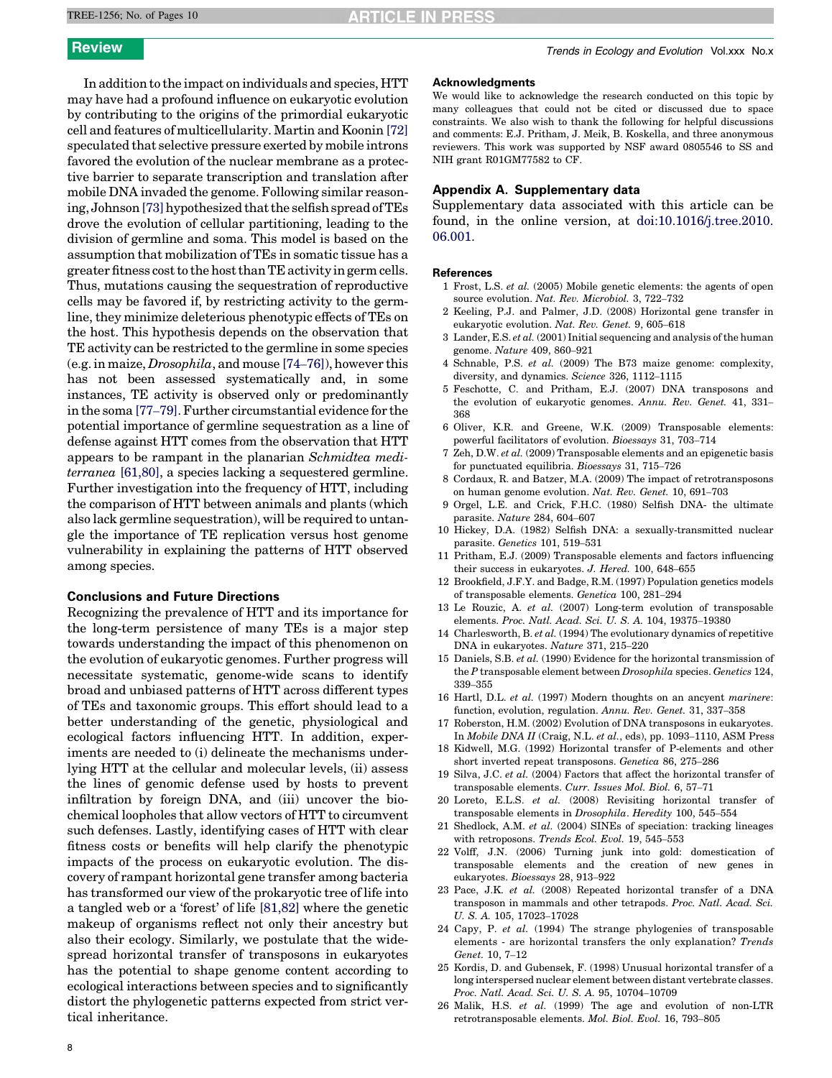<span id="page-7-0"></span>In addition to the impact on individuals and species, HTT may have had a profound influence on eukaryotic evolution by contributing to the origins of the primordial eukaryotic cell and features of multicellularity. Martin and Koonin [\[72\]](#page-8-0) speculated that selective pressure exerted by mobile introns favored the evolution of the nuclear membrane as a protective barrier to separate transcription and translation after mobile DNA invaded the genome. Following similar reason-ing, Johnson [\[73\]](#page-8-0) hypothesized that the selfish spread of TEs drove the evolution of cellular partitioning, leading to the division of germline and soma. This model is based on the assumption that mobilization of TEs in somatic tissue has a greater fitness cost to the host than TE activity in germ cells. Thus, mutations causing the sequestration of reproductive cells may be favored if, by restricting activity to the germline, they minimize deleterious phenotypic effects of TEs on the host. This hypothesis depends on the observation that TE activity can be restricted to the germline in some species (e.g. in maize, Drosophila, and mouse [\[74](#page-8-0)–76]), however this has not been assessed systematically and, in some instances, TE activity is observed only or predominantly in the soma [77–[79\].](#page-8-0) Further circumstantial evidence for the potential importance of germline sequestration as a line of defense against HTT comes from the observation that HTT appears to be rampant in the planarian Schmidtea mediterranea [\[61,80\],](#page-8-0) a species lacking a sequestered germline. Further investigation into the frequency of HTT, including the comparison of HTT between animals and plants (which also lack germline sequestration), will be required to untangle the importance of TE replication versus host genome vulnerability in explaining the patterns of HTT observed among species.

# Conclusions and Future Directions

Recognizing the prevalence of HTT and its importance for the long-term persistence of many TEs is a major step towards understanding the impact of this phenomenon on the evolution of eukaryotic genomes. Further progress will necessitate systematic, genome-wide scans to identify broad and unbiased patterns of HTT across different types of TEs and taxonomic groups. This effort should lead to a better understanding of the genetic, physiological and ecological factors influencing HTT. In addition, experiments are needed to (i) delineate the mechanisms underlying HTT at the cellular and molecular levels, (ii) assess the lines of genomic defense used by hosts to prevent infiltration by foreign DNA, and (iii) uncover the biochemical loopholes that allow vectors of HTT to circumvent such defenses. Lastly, identifying cases of HTT with clear fitness costs or benefits will help clarify the phenotypic impacts of the process on eukaryotic evolution. The discovery of rampant horizontal gene transfer among bacteria has transformed our view of the prokaryotic tree of life into a tangled web or a 'forest' of life [\[81,82\]](#page-9-0) where the genetic makeup of organisms reflect not only their ancestry but also their ecology. Similarly, we postulate that the widespread horizontal transfer of transposons in eukaryotes has the potential to shape genome content according to ecological interactions between species and to significantly distort the phylogenetic patterns expected from strict vertical inheritance.

### Acknowledgments

We would like to acknowledge the research conducted on this topic by many colleagues that could not be cited or discussed due to space constraints. We also wish to thank the following for helpful discussions and comments: E.J. Pritham, J. Meik, B. Koskella, and three anonymous reviewers. This work was supported by NSF award 0805546 to SS and NIH grant R01GM77582 to CF.

# Appendix A. Supplementary data

Supplementary data associated with this article can be found, in the online version, at [doi:10.1016/j.tree.2010.](http://dx.doi.org/10.1016/j.tree.2010.06.001) [06.001](http://dx.doi.org/10.1016/j.tree.2010.06.001).

### References

- 1 Frost, L.S. et al. (2005) Mobile genetic elements: the agents of open source evolution. Nat. Rev. Microbiol. 3, 722–732
- 2 Keeling, P.J. and Palmer, J.D. (2008) Horizontal gene transfer in eukaryotic evolution. Nat. Rev. Genet. 9, 605–618
- 3 Lander, E.S. et al. (2001) Initial sequencing and analysis of the human genome. Nature 409, 860–921
- 4 Schnable, P.S. et al. (2009) The B73 maize genome: complexity, diversity, and dynamics. Science 326, 1112–1115
- 5 Feschotte, C. and Pritham, E.J. (2007) DNA transposons and the evolution of eukaryotic genomes. Annu. Rev. Genet. 41, 331– 368
- 6 Oliver, K.R. and Greene, W.K. (2009) Transposable elements: powerful facilitators of evolution. Bioessays 31, 703–714
- 7 Zeh, D.W. et al. (2009) Transposable elements and an epigenetic basis for punctuated equilibria. Bioessays 31, 715–726
- 8 Cordaux, R. and Batzer, M.A. (2009) The impact of retrotransposons on human genome evolution. Nat. Rev. Genet. 10, 691–703
- 9 Orgel, L.E. and Crick, F.H.C. (1980) Selfish DNA- the ultimate parasite. Nature 284, 604–607
- 10 Hickey, D.A. (1982) Selfish DNA: a sexually-transmitted nuclear parasite. Genetics 101, 519–531
- 11 Pritham, E.J. (2009) Transposable elements and factors influencing their success in eukaryotes. J. Hered. 100, 648–655
- 12 Brookfield, J.F.Y. and Badge, R.M. (1997) Population genetics models of transposable elements. Genetica 100, 281–294
- 13 Le Rouzic, A. et al. (2007) Long-term evolution of transposable elements. Proc. Natl. Acad. Sci. U. S. A. 104, 19375–19380
- 14 Charlesworth, B. et al. (1994) The evolutionary dynamics of repetitive DNA in eukaryotes. Nature 371, 215–220
- 15 Daniels, S.B. et al. (1990) Evidence for the horizontal transmission of the P transposable element between Drosophila species. Genetics 124, 339–355
- 16 Hartl, D.L. et al. (1997) Modern thoughts on an ancyent marinere: function, evolution, regulation. Annu. Rev. Genet. 31, 337–358
- 17 Roberston, H.M. (2002) Evolution of DNA transposons in eukaryotes. In Mobile DNA II (Craig, N.L. et al., eds), pp. 1093–1110, ASM Press
- 18 Kidwell, M.G. (1992) Horizontal transfer of P-elements and other short inverted repeat transposons. Genetica 86, 275–286
- 19 Silva, J.C. et al. (2004) Factors that affect the horizontal transfer of transposable elements. Curr. Issues Mol. Biol. 6, 57–71
- 20 Loreto, E.L.S. et al. (2008) Revisiting horizontal transfer of transposable elements in Drosophila. Heredity 100, 545–554
- 21 Shedlock, A.M. et al. (2004) SINEs of speciation: tracking lineages with retroposons. Trends Ecol. Evol. 19, 545–553
- 22 Volff, J.N. (2006) Turning junk into gold: domestication of transposable elements and the creation of new genes in eukaryotes. Bioessays 28, 913–922
- 23 Pace, J.K. et al. (2008) Repeated horizontal transfer of a DNA transposon in mammals and other tetrapods. Proc. Natl. Acad. Sci. U. S. A. 105, 17023–17028
- 24 Capy, P. et al. (1994) The strange phylogenies of transposable elements - are horizontal transfers the only explanation? Trends Genet. 10, 7–12
- 25 Kordis, D. and Gubensek, F. (1998) Unusual horizontal transfer of a long interspersed nuclear element between distant vertebrate classes. Proc. Natl. Acad. Sci. U. S. A. 95, 10704–10709
- 26 Malik, H.S. et al. (1999) The age and evolution of non-LTR retrotransposable elements. Mol. Biol. Evol. 16, 793–805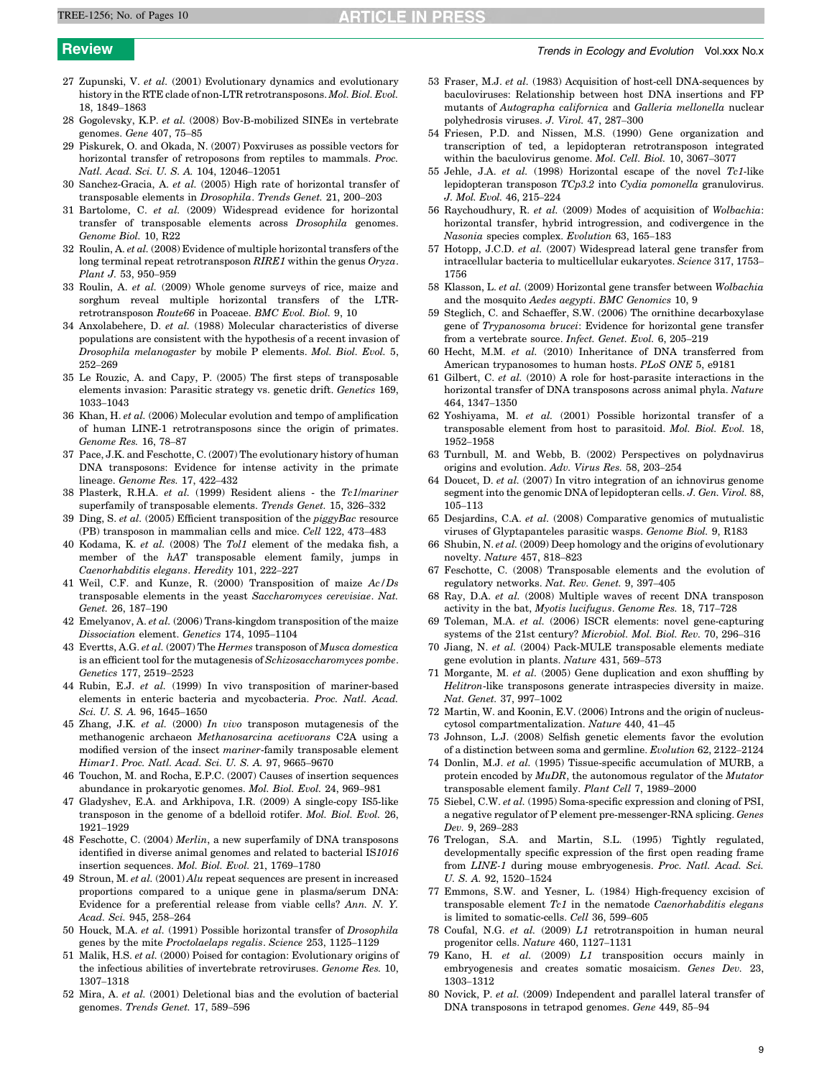- <span id="page-8-0"></span>27 Zupunski, V. et al. (2001) Evolutionary dynamics and evolutionary history in the RTE clade of non-LTR retrotransposons. Mol. Biol. Evol. 18, 1849–1863
- 28 Gogolevsky, K.P. et al. (2008) Bov-B-mobilized SINEs in vertebrate genomes. Gene 407, 75–85
- 29 Piskurek, O. and Okada, N. (2007) Poxviruses as possible vectors for horizontal transfer of retroposons from reptiles to mammals. Proc. Natl. Acad. Sci. U. S. A. 104, 12046–12051
- 30 Sanchez-Gracia, A. et al. (2005) High rate of horizontal transfer of transposable elements in Drosophila. Trends Genet. 21, 200–203
- 31 Bartolome, C. et al. (2009) Widespread evidence for horizontal transfer of transposable elements across Drosophila genomes. Genome Biol. 10, R22
- 32 Roulin, A. et al. (2008) Evidence of multiple horizontal transfers of the long terminal repeat retrotransposon RIRE1 within the genus Oryza. Plant J. 53, 950–959
- 33 Roulin, A. et al. (2009) Whole genome surveys of rice, maize and sorghum reveal multiple horizontal transfers of the LTRretrotransposon Route66 in Poaceae. BMC Evol. Biol. 9, 10
- 34 Anxolabehere, D. et al. (1988) Molecular characteristics of diverse populations are consistent with the hypothesis of a recent invasion of Drosophila melanogaster by mobile P elements. Mol. Biol. Evol. 5, 252–269
- 35 Le Rouzic, A. and Capy, P. (2005) The first steps of transposable elements invasion: Parasitic strategy vs. genetic drift. Genetics 169, 1033–1043
- 36 Khan, H. et al. (2006) Molecular evolution and tempo of amplification of human LINE-1 retrotransposons since the origin of primates. Genome Res. 16, 78–87
- 37 Pace, J.K. and Feschotte, C. (2007) The evolutionary history of human DNA transposons: Evidence for intense activity in the primate lineage. Genome Res. 17, 422–432
- 38 Plasterk, R.H.A. et al. (1999) Resident aliens the Tc1/mariner superfamily of transposable elements. Trends Genet. 15, 326–332
- 39 Ding, S. et al. (2005) Efficient transposition of the  $piggyBac$  resource (PB) transposon in mammalian cells and mice. Cell 122, 473–483
- 40 Kodama, K. et al. (2008) The Tol1 element of the medaka fish, a member of the hAT transposable element family, jumps in Caenorhabditis elegans. Heredity 101, 222–227
- 41 Weil, C.F. and Kunze, R. (2000) Transposition of maize Ac/Ds transposable elements in the yeast Saccharomyces cerevisiae. Nat. Genet. 26, 187–190
- 42 Emelyanov, A. et al. (2006) Trans-kingdom transposition of the maize Dissociation element. Genetics 174, 1095–1104
- 43 Evertts, A.G. et al. (2007) The Hermes transposon of Musca domestica is an efficient tool for the mutagenesis of Schizosaccharomyces pombe. Genetics 177, 2519–2523
- 44 Rubin, E.J. et al. (1999) In vivo transposition of mariner-based elements in enteric bacteria and mycobacteria. Proc. Natl. Acad. Sci. U. S. A. 96, 1645–1650
- 45 Zhang, J.K. et al. (2000) In vivo transposon mutagenesis of the methanogenic archaeon Methanosarcina acetivorans C2A using a modified version of the insect mariner-family transposable element Himar1. Proc. Natl. Acad. Sci. U. S. A. 97, 9665–9670
- 46 Touchon, M. and Rocha, E.P.C. (2007) Causes of insertion sequences abundance in prokaryotic genomes. Mol. Biol. Evol. 24, 969–981
- 47 Gladyshev, E.A. and Arkhipova, I.R. (2009) A single-copy IS5-like transposon in the genome of a bdelloid rotifer. Mol. Biol. Evol. 26, 1921–1929
- Feschotte, C. (2004) Merlin, a new superfamily of DNA transposons identified in diverse animal genomes and related to bacterial IS1016 insertion sequences. Mol. Biol. Evol. 21, 1769–1780
- 49 Stroun, M. et al. (2001) Alu repeat sequences are present in increased proportions compared to a unique gene in plasma/serum DNA: Evidence for a preferential release from viable cells? Ann. N. Y. Acad. Sci. 945, 258–264
- 50 Houck, M.A. et al. (1991) Possible horizontal transfer of Drosophila genes by the mite Proctolaelaps regalis. Science 253, 1125–1129
- 51 Malik, H.S. et al. (2000) Poised for contagion: Evolutionary origins of the infectious abilities of invertebrate retroviruses. Genome Res. 10, 1307–1318
- 52 Mira, A. et al. (2001) Deletional bias and the evolution of bacterial genomes. Trends Genet. 17, 589–596
- 53 Fraser, M.J. et al. (1983) Acquisition of host-cell DNA-sequences by baculoviruses: Relationship between host DNA insertions and FP mutants of Autographa californica and Galleria mellonella nuclear polyhedrosis viruses. J. Virol. 47, 287–300
- 54 Friesen, P.D. and Nissen, M.S. (1990) Gene organization and transcription of ted, a lepidopteran retrotransposon integrated within the baculovirus genome. Mol. Cell. Biol. 10, 3067–3077
- 55 Jehle, J.A. et al. (1998) Horizontal escape of the novel Tc1-like lepidopteran transposon TCp3.2 into Cydia pomonella granulovirus. J. Mol. Evol. 46, 215–224
- 56 Raychoudhury, R. et al. (2009) Modes of acquisition of Wolbachia: horizontal transfer, hybrid introgression, and codivergence in the Nasonia species complex. Evolution 63, 165–183
- 57 Hotopp, J.C.D. et al. (2007) Widespread lateral gene transfer from intracellular bacteria to multicellular eukaryotes. Science 317, 1753– 1756
- 58 Klasson, L. et al. (2009) Horizontal gene transfer between Wolbachia and the mosquito Aedes aegypti. BMC Genomics 10, 9
- 59 Steglich, C. and Schaeffer, S.W. (2006) The ornithine decarboxylase gene of Trypanosoma brucei: Evidence for horizontal gene transfer from a vertebrate source. Infect. Genet. Evol. 6, 205–219
- 60 Hecht, M.M. et al. (2010) Inheritance of DNA transferred from American trypanosomes to human hosts. PLoS ONE 5, e9181
- 61 Gilbert, C. et al. (2010) A role for host-parasite interactions in the horizontal transfer of DNA transposons across animal phyla. Nature 464, 1347–1350
- 62 Yoshiyama, M. et al. (2001) Possible horizontal transfer of a transposable element from host to parasitoid. Mol. Biol. Evol. 18, 1952–1958
- 63 Turnbull, M. and Webb, B. (2002) Perspectives on polydnavirus origins and evolution. Adv. Virus Res. 58, 203–254
- 64 Doucet, D. et al. (2007) In vitro integration of an ichnovirus genome segment into the genomic DNA of lepidopteran cells. J. Gen. Virol. 88, 105–113
- 65 Desjardins, C.A. et al. (2008) Comparative genomics of mutualistic viruses of Glyptapanteles parasitic wasps. Genome Biol. 9, R183
- 66 Shubin, N. et al. (2009) Deep homology and the origins of evolutionary novelty. Nature 457, 818–823
- 67 Feschotte, C. (2008) Transposable elements and the evolution of regulatory networks. Nat. Rev. Genet. 9, 397–405
- 68 Ray, D.A. et al. (2008) Multiple waves of recent DNA transposon activity in the bat, Myotis lucifugus. Genome Res. 18, 717–728
- 69 Toleman, M.A. et al. (2006) ISCR elements: novel gene-capturing systems of the 21st century? Microbiol. Mol. Biol. Rev. 70, 296–316
- 70 Jiang, N. et al. (2004) Pack-MULE transposable elements mediate gene evolution in plants. Nature 431, 569–573
- 71 Morgante, M. et al. (2005) Gene duplication and exon shuffling by Helitron-like transposons generate intraspecies diversity in maize. Nat. Genet. 37, 997–1002
- 72 Martin, W. and Koonin, E.V. (2006) Introns and the origin of nucleuscytosol compartmentalization. Nature 440, 41–45
- 73 Johnson, L.J. (2008) Selfish genetic elements favor the evolution of a distinction between soma and germline. Evolution 62, 2122–2124
- 74 Donlin, M.J. et al. (1995) Tissue-specific accumulation of MURB, a protein encoded by MuDR, the autonomous regulator of the Mutator transposable element family. Plant Cell 7, 1989–2000
- 75 Siebel, C.W. et al. (1995) Soma-specific expression and cloning of PSI, a negative regulator of P element pre-messenger-RNA splicing. Genes Dev. 9, 269–283
- 76 Trelogan, S.A. and Martin, S.L. (1995) Tightly regulated, developmentally specific expression of the first open reading frame from LINE-1 during mouse embryogenesis. Proc. Natl. Acad. Sci. U. S. A. 92, 1520–1524
- 77 Emmons, S.W. and Yesner, L. (1984) High-frequency excision of transposable element  $Tc1$  in the nematode *Caenorhabditis elegans* is limited to somatic-cells. Cell 36, 599–605
- 78 Coufal, N.G. et al. (2009) L1 retrotranspoition in human neural progenitor cells. Nature 460, 1127–1131
- 79 Kano, H. et al. (2009) L1 transposition occurs mainly in embryogenesis and creates somatic mosaicism. Genes Dev. 23, 1303–1312
- 80 Novick, P. et al. (2009) Independent and parallel lateral transfer of DNA transposons in tetrapod genomes. Gene 449, 85–94